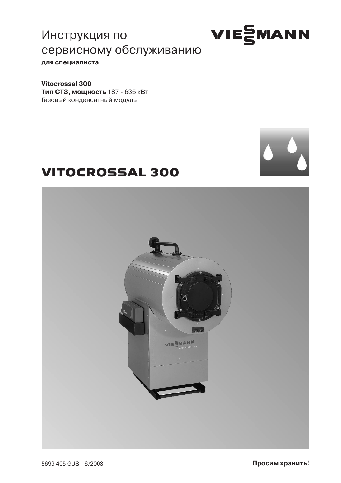Инструкция по сервисному обслуживанию

для специалиста

Vitocrossal 300 Тип СТЗ, мощность 187 - 635 кВт Газовый конденсатный модуль

# **VITOCROSSAL 300**





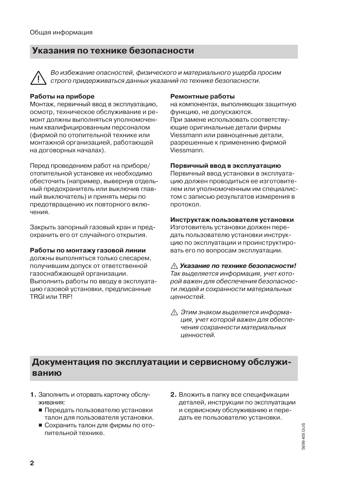## Указания по технике безопасности

Во избежание опасностей, физического и материального ущерба просим строго придерживаться данных указаний по технике безопасности.

#### Работы на приборе

Монтаж, первичный ввод в эксплуатацию, осмотр, техническое обслуживание и ремонт должны выполняться уполномоченным квалифицированным персоналом (фирмой по отопительной технике или монтажной организацией, работающей на договорных началах).

Перед проведением работ на приборе/ отопительной установке их необходимо обесточить (например, вывернув отдельный предохранитель или выключив главный выключатель) и принять меры по предотвращению их повторного включения.

Закрыть запорный газовый кран и предохранить его от случайного открытия.

#### Работы по монтажу газовой линии

должны выполняться только слесарем, получившим допуск от ответственной газоснабжающей организации. Выполнить работы по вводу в эксплуатацию газовой установки, предписанные TRGI или TRFI

#### Ремонтные работы

на компонентах, выполняющих защитную функцию, не допускаются. При замене использовать соответствующие оригинальные детали фирмы Viessmann или равноценные детали. разрешенные к применению фирмой Viessmann.

#### Первичный ввод в эксплуатацию

Первичный ввод установки в эксплуатацию должен проводиться ее изготовителем или уполномоченным им специалистом с записью результатов измерения в протокол.

#### Инструктаж пользователя установки

Изготовитель установки должен передать пользователю установки инструкцию по эксплуатации и проинструктировать его по вопросам эксплуатации.

∧ Указание по технике безопасности! Так выделяется информация, учет которой важен для обеспечения безопасности людей и сохранности материальных ценностей.

∧ Этим знаком выделяется информация, учет которой важен для обеспечения сохранности материальных ценностей.

## Документация по эксплуатации и сервисному обслуживанию

- 1. Заполнить и оторвать карточку обслуживания:
	- Передать пользователю установки талон для пользователя установки.
	- Сохранить талон для фирмы по отопительной технике.
- 2. Вложить в папку все спецификации деталей, инструкции по эксплуатации и сервисному обслуживанию и передать ее пользователю установки.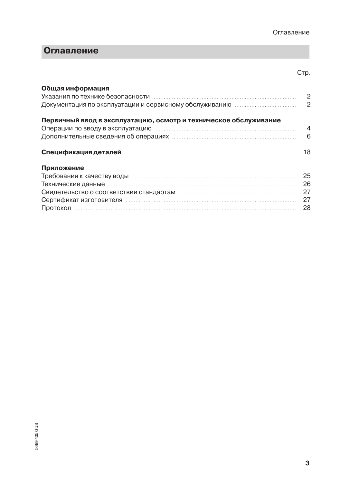### Оглавление

### Cтp.

| Общая информация                                                        |     |
|-------------------------------------------------------------------------|-----|
| Первичный ввод в эксплуатацию, осмотр и техническое обслуживание        |     |
|                                                                         |     |
| Дополнительные сведения об операциях пособнование и полностройство в б  |     |
|                                                                         | 18  |
| Приложение                                                              |     |
| Требования к качеству воды принимательностроположенного положительности | 25  |
|                                                                         |     |
|                                                                         |     |
|                                                                         |     |
|                                                                         | -28 |
|                                                                         |     |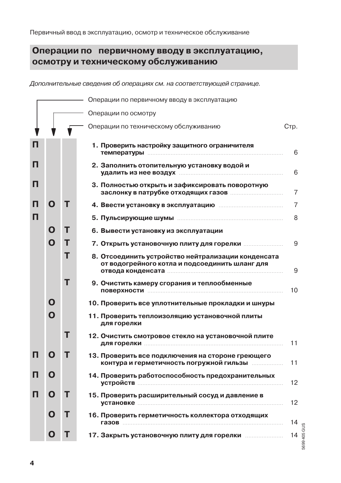## Операции по первичному вводу в эксплуатацию, осмотру и техническому обслуживанию

Дополнительные сведения об операциях см. на соответствующей странице.

|   |   |   | Операции по первичному вводу в эксплуатацию                                                                                                                                       |                    |  |  |  |  |  |
|---|---|---|-----------------------------------------------------------------------------------------------------------------------------------------------------------------------------------|--------------------|--|--|--|--|--|
|   |   |   | Операции по осмотру                                                                                                                                                               |                    |  |  |  |  |  |
|   |   |   | Операции по техническому обслуживанию                                                                                                                                             | Стр.               |  |  |  |  |  |
| п |   |   | 1. Проверить настройку защитного ограничителя                                                                                                                                     | 6                  |  |  |  |  |  |
| п |   |   | 2. Заполнить отопительную установку водой и<br>удалить из нее воздух поставленности по полности по тем                                                                            | 6                  |  |  |  |  |  |
| п |   |   | 3. Полностью открыть и зафиксировать поворотную                                                                                                                                   | 7                  |  |  |  |  |  |
|   | O | т |                                                                                                                                                                                   | 7                  |  |  |  |  |  |
| п |   |   |                                                                                                                                                                                   | 8                  |  |  |  |  |  |
|   | Ο | т | 6. Вывести установку из эксплуатации                                                                                                                                              |                    |  |  |  |  |  |
|   | O | т |                                                                                                                                                                                   | 9                  |  |  |  |  |  |
|   |   | т | 8. Отсоединить устройство нейтрализации конденсата<br>от водогрейного котла и подсоединить шланг для<br>отвода конденсата по полности по поставке по полности по поставке и по по | 9                  |  |  |  |  |  |
|   |   | т | 9. Очистить камеру сгорания и теплообменные<br><b>ПОВЕРХНОСТИ ПЕРЕВОЛЬНОСТИ</b>                                                                                                   | 10                 |  |  |  |  |  |
|   | O |   | 10. Проверить все уплотнительные прокладки и шнуры                                                                                                                                |                    |  |  |  |  |  |
|   | O |   | 11. Проверить теплоизоляцию установочной плиты<br>для горелки                                                                                                                     |                    |  |  |  |  |  |
|   |   | т | 12. Очистить смотровое стекло на установочной плите<br>для горелки <b>последните по против по последните по</b> последните по                                                     | 11                 |  |  |  |  |  |
| п | Ο | т | 13. Проверить все подключения на стороне греющего<br>контура и герметичность погружной гильзы                                                                                     | 11                 |  |  |  |  |  |
| п | O |   | 14. Проверить работоспособность предохранительных                                                                                                                                 | 12                 |  |  |  |  |  |
| п | O | т | 15. Проверить расширительный сосуд и давление в                                                                                                                                   | 12                 |  |  |  |  |  |
|   | O | т | 16. Проверить герметичность коллектора отходящих                                                                                                                                  | 14                 |  |  |  |  |  |
|   | O | т |                                                                                                                                                                                   | 5699 405 GUS<br>14 |  |  |  |  |  |
|   |   |   |                                                                                                                                                                                   |                    |  |  |  |  |  |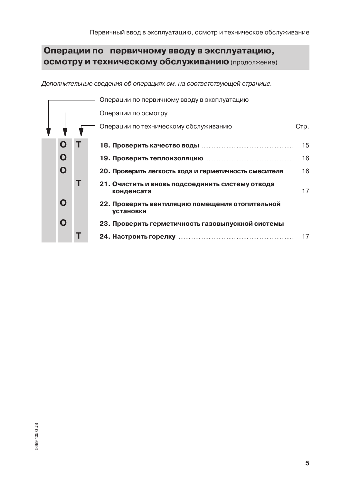## Операции по первичному вводу в эксплуатацию, осмотру и техническому обслуживанию (продолжение)

Дополнительные сведения об операциях см. на соответствующей странице.

|  | Операции по первичному вводу в эксплуатацию |   |                                                              |      |  |  |  |  |
|--|---------------------------------------------|---|--------------------------------------------------------------|------|--|--|--|--|
|  |                                             |   | Операции по осмотру                                          |      |  |  |  |  |
|  |                                             |   | Операции по техническому обслуживанию                        | Стр. |  |  |  |  |
|  | O                                           |   |                                                              | 15   |  |  |  |  |
|  | Ο                                           |   | 19. Проверить теплоизоляцию попата по полности по постоянии  | 16   |  |  |  |  |
|  | O                                           |   | 20. Проверить легкость хода и герметичность смесителя        | 16   |  |  |  |  |
|  |                                             | т | 21. Очистить и вновь подсоединить систему отвода             | 17   |  |  |  |  |
|  | O                                           |   | 22. Проверить вентиляцию помещения отопительной<br>установки |      |  |  |  |  |
|  | Ο                                           |   | 23. Проверить герметичность газовыпускной системы            |      |  |  |  |  |
|  |                                             |   |                                                              | 17   |  |  |  |  |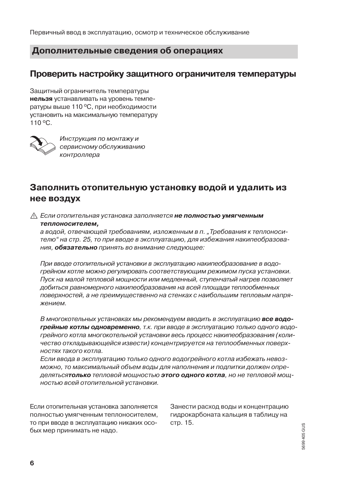Первичный ввод в эксплуатацию, осмотр и техническое обслуживание

### Дополнительные сведения об операциях

### Проверить настройку защитного ограничителя температуры

Защитный ограничитель температуры нельзя устанавливать на уровень температуры выше 110 °С, при необходимости установить на максимальную температуру 110 °C.



Инструкция по монтажу и сервисному обслуживанию контроллера

## Заполнить отопительную установку водой и удалить из нее воздух

∧ Если отопительная установка заполняется не полностью умягченным теплоносителем.

а водой, отвечающей требованиям, изложенным в п. "Требования к теплоносителю" на стр. 25, то при вводе в эксплуатацию, для избежания накипеобразования. Обязательно принять во внимание следующее:

При вводе отопительной установки в эксплуатацию накипеобразование в водогрейном котле можно регулировать соответствующим режимом пуска установки. Пуск на малой тепловой мощности или медленный, ступенчатый нагрев позволяет добиться равномерного накипеобразования на всей площади теплообменных поверхностей, а не преимущественно на стенках с наибольшим тепловым напря-ЖАНИАМ

В многокотельных установках мы рекомендуем вводить в эксплуатацию все водогрейные котлы одновременно, т.к. при вводе в эксплуатацию только одного водогрейного котла многокотельной установки весь процесс накипеобразования (количество откладывающейся извести) концентрируется на теплообменных поверхностях такого котла.

Если ввода в эксплуатацию только одного водогрейного котла избежать невозможно, то максимальный объем воды для наполнения и подпитки должен определятьсятолько тепловой мощностью этого одного котла, но не тепловой мощностью всей отопительной установки.

Если отопительная установка заполняется полностью умягченным теплоносителем, то при вводе в эксплуатацию никаких особых мер принимать не надо.

Занести расход воды и концентрацию гидрокарбоната кальция в таблицу на стр. 15.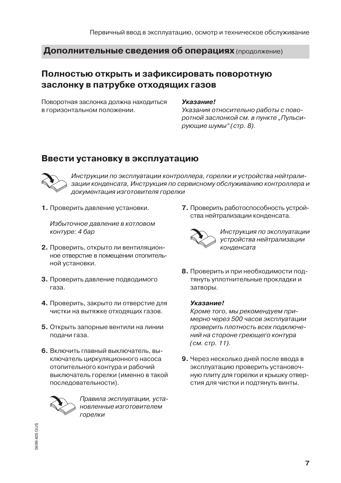### Полностью открыть и зафиксировать поворотную заслонку в патрубке отходящих газов

Поворотная заслонка должна находиться в горизонтальном положении.

#### **Указание!**

Указания относительно работы с поворотной заслонкой см. в пункте "Пульсирующие шумы" (стр. 8).

### Ввести установку в эксплуатацию



Инструкции по эксплуатации контроллера, горелки и устройства нейтрализации конденсата, Инструкция по сервисному обслуживанию контроллера и документация изготовителя горелки

1. Проверить давление установки.

Избыточное давление в котловом контуре: 4 бар

- 2. Проверить, открыто ли вентиляционное отверстие в помещении отопительной установки.
- 3. Проверить давление подводимого газа.
- 4. Проверить, закрыто ли отверстие для чистки на вытяжке отходящих газов.
- 5. Открыть запорные вентили на линии подачи газа.
- 6. Включить главный выключатель, выключатель циркуляционного насоса отопительного контура и рабочий выключатель горелки (именно в такой последовательности).



Правила эксплуатации, установленные изготовителем горелки

7. Проверить работоспособность устройства нейтрализации конденсата.



Инструкция по эксплуатации устройства нейтрализации конденсата

8. Проверить и при необходимости подтянуть уплотнительные прокладки и затворы.

#### **Указание!**

Кроме того, мы рекомендуем примерно через 500 часов эксплуатации проверить плотность всех подключений на стороне греющего контура (см. стр. 11).

9. Через несколько дней после ввода в эксплуатацию проверить установочную плиту для горелки и крышку отвер-СТИЯ ДЛЯ ЧИСТКИ И ПОДТЯНУТЬ ВИНТЫ.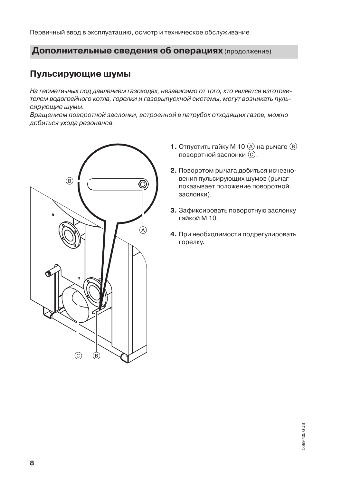Первичный ввод в эксплуатацию, осмотр и техническое обслуживание

### Дополнительные сведения об операциях (продолжение)

### Пульсирующие шумы

На герметичных под давлением газоходах, независимо от того, кто является изготовителем водогрейного котла, горелки и газовыпускной системы, могут возникать пульсирующие шумы.

Врашением поворотной заслонки, встроенной в патрубок отходяших газов, можно добиться ухода резонанса.



- **1.** Отпустить гайку М 10  $\overline{A}$  на рычаге  $\overline{B}$ поворотной заслонки  $(\widehat{C})$ .
- 2. Поворотом рычага добиться исчезновения пульсирующих шумов (рычаг показывает положение поворотной заслонки).
- 3. Зафиксировать поворотную заслонку гайкой М 10
- 4. При необходимости подрегулировать горелку.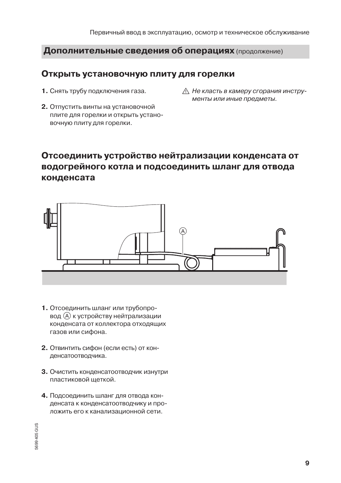### Открыть установочную плиту для горелки

- 1. Снять трубу подключения газа.
- 2. Отпустить винты на установочной плите для горелки и открыть установочную плиту для горелки.
- ∧ Не класть в камеру сгорания инструменты или иные предметы.

## Отсоединить устройство нейтрализации конденсата от водогрейного котла и подсоединить шланг для отвода конденсата



- 1. Отсоединить шланг или трубопровод (А) к устройству нейтрализации конденсата от коллектора отходящих газов или сифона.
- 2. Отвинтить сифон (если есть) от конденсатоотводчика.
- 3. Очистить конденсатоотводчик изнутри пластиковой шеткой.
- 4. Подсоединить шланг для отвода конденсата к конденсатоотводчику и проложить его к канализационной сети.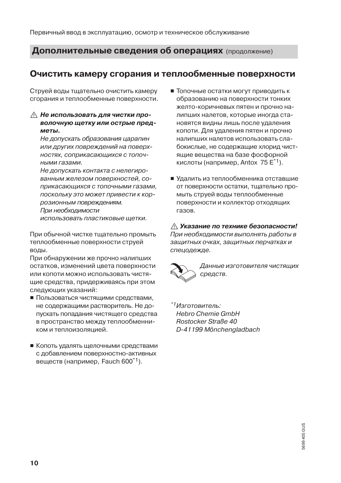### Очистить камеру сгорания и теплообменные поверхности

Струей воды тщательно очистить камеру сгорания и теплообменные поверхности.

#### **∧ Не использовать для чистки про**волочную шетку или острые пред-**MATH**

Не допускать образования царапин или других повреждений на поверхностях, соприкасающихся с топочными газами.

Не допускать контакта с нелегированным железом поверхностей, соприкасающихся с топочными газами. поскольку это может привести к коррозионным повреждениям. При необходимости

использовать пластиковые щетки.

При обычной чистке тщательно промыть теплообменные поверхности струей воды.

При обнаружении же прочно налипших остатков, изменений цвета поверхности или копоти можно использовать чистящие средства, придерживаясь при этом следующих указаний:

- Пользоваться чистящими средствами, не содержащими растворитель. Не допускать попадания чистящего средства в пространство между теплообменником и теплоизоляцией.
- Копоть удалять щелочными средствами с добавлением поверхностно-активных веществ (например, Fauch 600<sup>\*1</sup>).
- Топочные остатки могут приводить к образованию на поверхности тонких желто-коричневых пятен и прочно налипших налетов, которые иногда становятся видны лишь после удаления копоти. Для удаления пятен и прочно налипших налетов использовать слабокислые, не содержащие хлорид чистящие вещества на базе фосфорной кислоты (например, Antox 75 $E^*$ 1).
- Удалить из теплообменника отставшие от поверхности остатки, тшательно промыть струей воды теплообменные поверхности и коллектор отходящих газов.

#### ∧ Указание по технике безопасности!

При необходимости выполнять работы в защитных очках, защитных перчатках и спецодежде.



Данные изготовителя чистящих средств.

\*1 Изготовитель: **Hebro Chemie GmbH** Rostocker Straße 40 D-41199 Mönchengladbach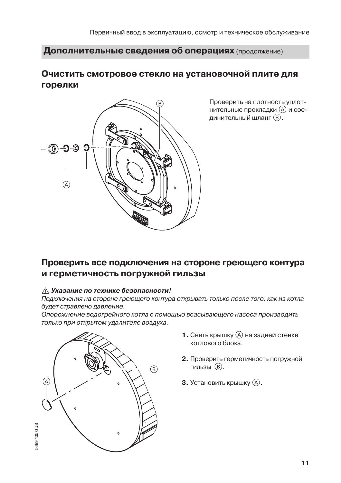## Очистить смотровое стекло на установочной плите для горелки



Проверить на плотность уплотнительные прокладки (А) и соединительный шланг (B).

## Проверить все подключения на стороне греющего контура и герметичность погружной гильзы

#### ∧ Указание по технике безопасности!

Подключения на стороне греющего контура открывать только после того, как из котла будет стравлено давление.

Опорожнение водогрейного котла с помощью всасывающего насоса производить только при открытом удалителе воздуха.



- **1.** Снять крышку  $\widehat{A}$  на задней стенке котлового блока.
- 2. Проверить герметичность погружной гильзы (В).
- 3. Установить крышку (А).

 $11$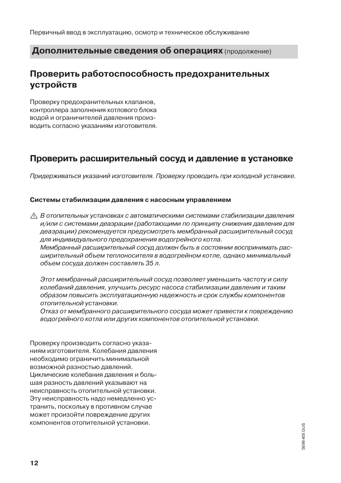## Проверить работоспособность предохранительных **VCTDOЙСТВ**

Проверку предохранительных клапанов, контроллера заполнения котлового блока водой и ограничителей давления производить согласно указаниям изготовителя.

## Проверить расширительный сосуд и давление в установке

Придерживаться указаний изготовителя. Проверку проводить при холодной установке.

#### Системы стабилизации давления с насосным управлением

∧ В отопительных установках с автоматическими системами стабилизации давления и/или с системами деаэрации (работающими по принципу снижения давления для деаэрации) рекомендуется предусмотреть мембранный расширительный сосуд для индивидуального предохранения водогрейного котла. Мембранный расширительный сосуд должен быть в состоянии воспринимать расширительный объем теплоносителя в водогрейном котле, однако минимальный объем сосуда должен составлять 35 л.

Этот мембранный расширительный сосуд позволяет уменьшить частоту и силу колебаний давления, улучшить ресурс насоса стабилизации давления и таким образом повысить эксплуатационную надежность и срок службы компонентов отопительной установки.

Отказ от мембранного расширительного сосуда может привести к повреждению водогрейного котла или других компонентов отопительной установки.

Проверку производить согласно указаниям изготовителя. Колебания давления необходимо ограничить минимальной возможной разностью давлений. Циклические колебания давления и большая разность давлений указывают на неисправность отопительной установки. Эту неисправность надо немедленно устранить, поскольку в противном случае может произойти повреждение других компонентов отопительной установки.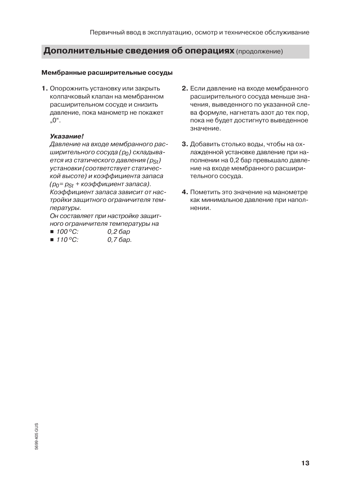#### Мембранные расширительные сосуды

1. Опорожнить установку или закрыть колпачковый клапан на мембранном расширительном сосуде и снизить давление, пока манометр не покажет  $.0^\circ$ .

#### Указание!

Давление на входе мембранного расширительного сосуда (ро) складывается из статического давления (pst) установки (соответствует статической высоте) и коэффициента запаса  $(p_0 = p_{St} + \kappa o \partial \phi \phi \omega \mu$ ициент запаса). Коэффициент запаса зависит от настройки защитного ограничителя температуры.

Он составляет при настройке защитного ограничителя температуры на

- $100^{\circ}$ C:  $0.26$ ap
- $110^{\circ}$ C:  $0.76$ ap.
- 2. Если давление на входе мембранного расширительного сосуда меньше значения, выведенного по указанной слева формуле, нагнетать азот до тех пор. пока не будет достигнуто выведенное значение.
- 3. Добавить столько воды, чтобы на охлажденной установке давление при наполнении на 0,2 бар превышало давление на входе мембранного расширительного сосуда.
- 4. Пометить это значение на манометре как минимальное давление при наполнении.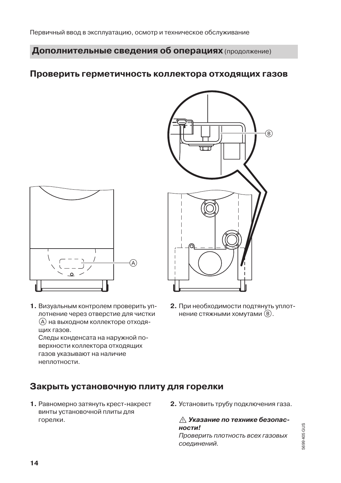### Проверить герметичность коллектора отходящих газов



1. Визуальным контролем проверить уплотнение через отверстие для чистки (A) на выходном коллекторе отходяших газов.

Следы конденсата на наружной поверхности коллектора отходящих газов указывают на наличие неплотности.



2. При необходимости подтянуть уплотнение стяжными хомутами (В).

### Закрыть установочную плиту для горелки

- 1. Равномерно затянуть крест-накрест винты установочной плиты для горелки.
- 2. Установить трубу подключения газа.

∧ Указание по технике безопасности!

Проверить плотность всех газовых соединений.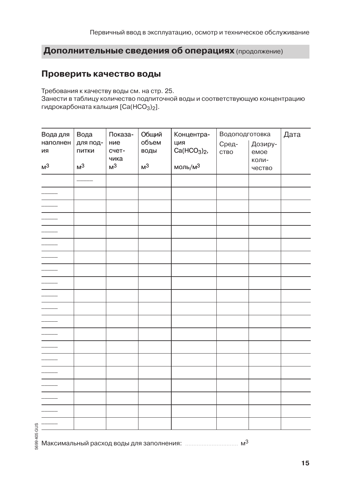### Проверить качество воды

Требования к качеству воды см. на стр. 25.

Занести в таблицу количество подпиточной воды и соответствующую концентрацию гидрокарбоната кальция [Са(НСО<sub>3</sub>)<sub>2</sub>].

| Вода для<br>наполнен<br>ИЯ<br>M <sup>3</sup> | Вода<br>для под-<br>ПИТКИ<br>M <sup>3</sup> | Показа-<br>ние<br>счет-<br>чика<br>M <sup>3</sup> | Общий<br>объем<br>воды<br>M <sup>3</sup> | Концентра-<br>ция<br>$Ca(HCO3)2$ ,<br>моль/м $3$ | Водоподготовка<br>Сред-<br>CTBO | Дозиру-<br>емое<br>коли-<br>чество | Дата |
|----------------------------------------------|---------------------------------------------|---------------------------------------------------|------------------------------------------|--------------------------------------------------|---------------------------------|------------------------------------|------|
|                                              |                                             |                                                   |                                          |                                                  |                                 |                                    |      |
| $\overline{\phantom{0}}$                     |                                             |                                                   |                                          |                                                  |                                 |                                    |      |
| $\overline{\phantom{a}}$                     |                                             |                                                   |                                          |                                                  |                                 |                                    |      |
|                                              |                                             |                                                   |                                          |                                                  |                                 |                                    |      |
|                                              |                                             |                                                   |                                          |                                                  |                                 |                                    |      |
|                                              |                                             |                                                   |                                          |                                                  |                                 |                                    |      |
|                                              |                                             |                                                   |                                          |                                                  |                                 |                                    |      |
|                                              |                                             |                                                   |                                          |                                                  |                                 |                                    |      |
|                                              |                                             |                                                   |                                          |                                                  |                                 |                                    |      |
|                                              |                                             |                                                   |                                          |                                                  |                                 |                                    |      |
| $\overline{\phantom{0}}$                     |                                             |                                                   |                                          |                                                  |                                 |                                    |      |
| $\overline{\phantom{0}}$                     |                                             |                                                   |                                          |                                                  |                                 |                                    |      |
| $\overline{\phantom{a}}$                     |                                             |                                                   |                                          |                                                  |                                 |                                    |      |
|                                              |                                             |                                                   |                                          |                                                  |                                 |                                    |      |
| $\overline{\phantom{a}}$                     |                                             |                                                   |                                          |                                                  |                                 |                                    |      |
|                                              |                                             |                                                   |                                          |                                                  |                                 |                                    |      |
|                                              |                                             |                                                   |                                          |                                                  |                                 |                                    |      |
|                                              |                                             |                                                   |                                          |                                                  |                                 |                                    |      |
|                                              |                                             |                                                   |                                          |                                                  |                                 |                                    |      |
|                                              |                                             |                                                   |                                          |                                                  |                                 |                                    |      |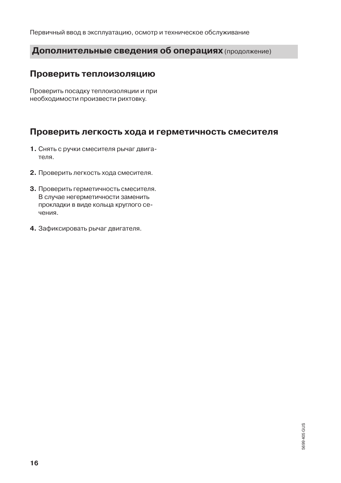Первичный ввод в эксплуатацию, осмотр и техническое обслуживание

### Дополнительные сведения об операциях (продолжение)

### Проверить теплоизоляцию

Проверить посадку теплоизоляции и при необходимости произвести рихтовку.

### Проверить легкость хода и герметичность смесителя

- 1. Снять с ручки смесителя рычаг двигателя.
- 2. Проверить легкость хода смесителя.
- 3. Проверить герметичность смесителя. В случае негерметичности заменить прокладки в виде кольца круглого сечения.
- 4. Зафиксировать рычаг двигателя.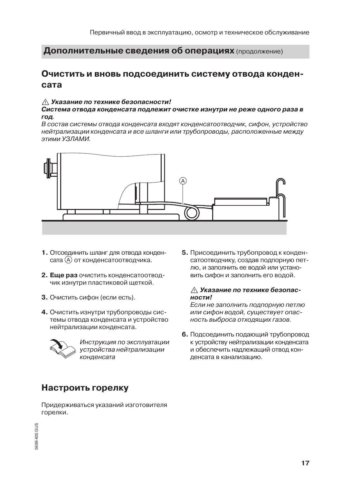### Очистить и вновь подсоединить систему отвода конденсата

#### ∧ Указание по технике безопасности!

Система отвода конденсата подлежит очистке изнутри не реже одного раза в год.

В состав системы отвода конденсата входят конденсатоотводчик, сифон, устройство нейтрализации конденсата и все шланги или трубопроводы, расположенные между **ММАП ЕУ мммте.** 



- 1. Отсоединить шланг для отвода конденсата (А) от конденсатоотводчика.
- 2. Еще раз очистить конденсатоотводчик изнутри пластиковой щеткой.
- 3. Очистить сифон (если есть).
- 4. Очистить изнутри трубопроводы системы отвода конденсата и устройство нейтрализации конденсата.



Инструкция по эксплуатации устройства нейтрализации конденсата

## Настроить горелку

Придерживаться указаний изготовителя горелки.

5. Присоединить трубопровод к конденсатоотводчику, создав подпорную петлю, и заполнить ее водой или установить сифон и заполнить его водой.

#### ∧ Указание по технике безопас $n<sub>O</sub>$

Если не заполнить подпорную петлю или сифон водой, существует опасность выброса отходящих газов.

6. Подсоединить подающий трубопровод к устройству нейтрализации конденсата и обеспечить надлежащий отвод конденсата в канализацию.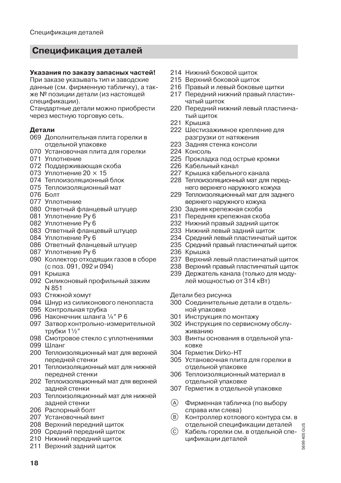## Спецификация деталей

#### Указания по заказу запасных частей!

При заказе указывать тип и заводские данные (см. фирменную табличку), а также № позиции детали (из настоящей спецификации).

Стандартные детали можно приобрести через местную торговую сеть.

#### Детали

- 069 Дополнительная плита горелки в отдельной упаковке
- 070 Установочная плита для горелки
- 071 Уплотнение
- 072 Поддерживающая скоба
- 073 Уплотнение 20  $\times$  15
- 074 Теплоизоляционный блок
- 075 Теплоизоляционный мат
- 076 Болт
- 077 Уплотнение
- 080 Ответный фланцевый штуцер
- 081 Уплотнение Ру 6
- 082 Уплотнение Pv 6
- 083 Ответный фланцевый штуцер
- 084 Уплотнение Ру 6
- 086 Ответный фланцевый штуцер
- 087 Уплотнение Pv 6
- 090 Коллектор отходящих газов в сборе (с поз. 091, 092 и 094)
- 091 Крышка
- 092 Силиконовый профильный зажим N 851
- 093 Стяжной хомут
- 094 Шнур из силиконового пенопласта
- 095 Контрольная трубка
- 096 Наконечник шланга 1/4" Р 6
- 097 Затвор контрольно-измерительной трубки 11/2"
- 098 Смотровое стекло с уплотнениями
- 099 Шланг
- 200 Теплоизоляционный мат для верхней передней стенки
- 201 Теплоизоляционный мат для нижней передней стенки
- 202 Теплоизоляционный мат для верхней задней стенки
- 203 Теплоизоляционный мат для нижней задней стенки
- 206 Распорный болт
- 207 Установочный винт
- 208 Верхний передний щиток
- 209 Средний передний шиток
- 210 Нижний передний щиток
- 211 Верхний задний щиток
- 214 Нижний боковой шиток
- 215 Верхний боковой шиток
- 216 Правый и левый боковые шитки
- 217 Передний нижний правый пластинчатый шиток
- 220 Передний нижний левый пластинчатый шиток
- 221 Крышка
- 222 Шестизажимное крепление для разгрузки от натяжения
- 223 Задняя стенка консоли
- 224 Консоль
- 225 Прокладка под острые кромки
- 226 Кабельный канал
- 227 Крышка кабельного канала
- 228 Теплоизоляционный мат для переднего верхнего наружного кожуха
- 229 Теплоизоляционный мат для заднего верхнего наружного кожуха
- 230 Задняя крепежная скоба
- 231 Передняя крепежная скоба
- 232 Нижний правый задний шиток
- 233 Нижний левый задний шиток
- 234 Средний левый пластинчатый щиток
- 235 Средний правый пластинчатый щиток
- 236 Крышка
- 237 Верхний левый пластинчатый шиток
- 238 Верхний правый пластинчатый щиток
- 239 Держатель канала (только для модулей мощностью от 314 кВт)

#### Детали без рисунка

- 300 Соединительные детали в отдельной упаковке
- 301 Инструкция по монтажу
- 302 Инструкция по сервисному обслуживанию
- 303 Винты основания в отдельной упаковке
- 304 Герметик Dirko-HT
- 305 Установочная плита для горелки в отдельной упаковке
- 306 Теплоизоляционный материал в отдельной упаковке
- 307 Герметик в отдельной упаковке
- $\mathcal{A}$ Фирменная табличка (по выбору справа или слева)
- (В) Контроллер котлового контура см. в отдельной спецификации деталей
- $\odot$ Кабель горелки см. в отдельной спецификации деталей

5699 405 GUS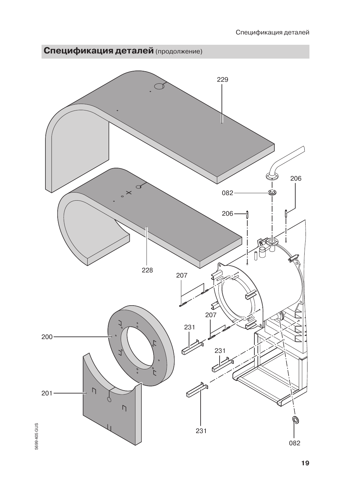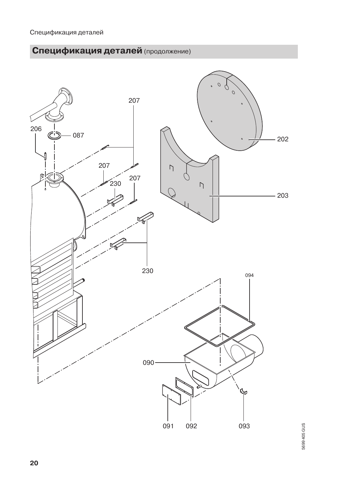

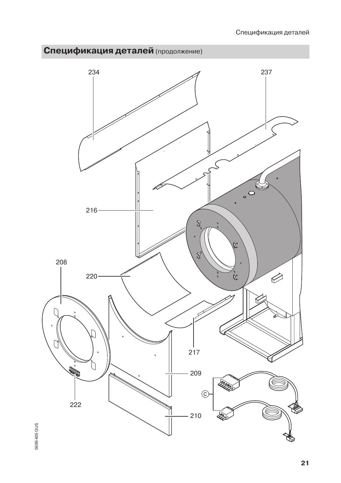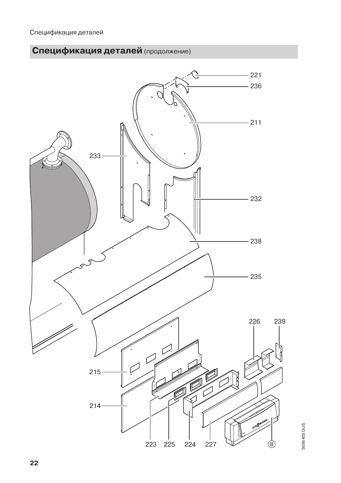

5699 405 GUS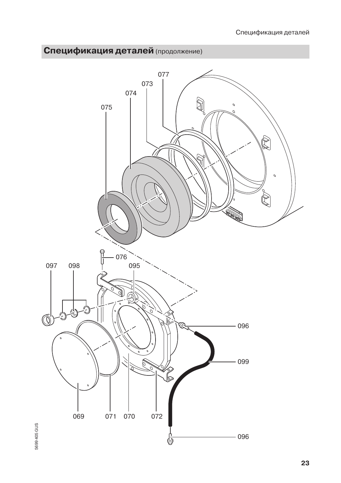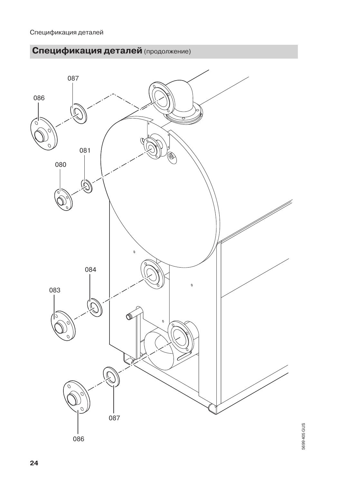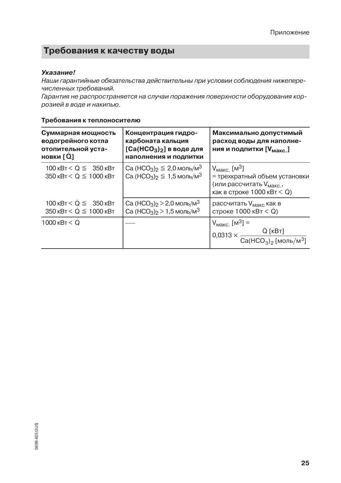## Требования к качеству воды

#### Указание!

Наши гарантийные обязательства действительны при условии соблюдения нижеперечисленных требований.

Гарантия не распространяется на случаи поражения поверхности оборудования коррозией в воде и накипью.

| Суммарная мощность<br>водогрейного котла<br>отопительной уста-<br>новки [Q] | Концентрация гидро-<br>карбоната кальция<br>$[Ca(HCO3)2]$ в воде для<br>наполнения и подпитки                                            | Максимально допустимый<br>расход воды для наполне-<br>ния и подпитки [V <sub>макс</sub> ]                                                   |  |  |
|-----------------------------------------------------------------------------|------------------------------------------------------------------------------------------------------------------------------------------|---------------------------------------------------------------------------------------------------------------------------------------------|--|--|
| $100 \text{ kBr} < Q \leq 350 \text{ kBr}$<br>$350$ KBT $< Q \leq 1000$ KBT | Са (НСО <sub>3</sub> ) <sub>2</sub> $\leq$ 2,0 моль/м <sup>3</sup><br>Са (НСО <sub>3</sub> ) <sub>2</sub> $\leq$ 1,5 моль/м <sup>3</sup> | $V_{\text{MAKC}}$ [M <sup>3</sup> ]<br>= трехкратный объем установки<br>(или рассчитать V <sub>макс</sub> ,<br>как в строке 1000 кВт $<$ Q) |  |  |
| $100 \text{ kBr} < Q \leq 350 \text{ kBr}$<br>350 кВт < $Q \leq 1000$ кВт   | Са (НСО <sub>3</sub> ) <sub>2</sub> > 2,0 моль/м <sup>3</sup><br>Са (HCO <sub>3</sub> ) <sub>2</sub> > 1,5 моль/м <sup>3</sup>           | рассчитать V <sub>макс</sub> как в<br>строке 1000 кВт $<$ Q)                                                                                |  |  |
| $1000$ $\text{KBT}$ $\leq$ Q                                                |                                                                                                                                          | $V_{\text{MAKC}}$ [M <sup>3</sup> ] =<br>$0,0313 \times \frac{Q \text{ [kBr]}}{Ca(HCO_3)_2 \text{ [MODIb/M}^3]}$                            |  |  |

#### Требования к теплоносителю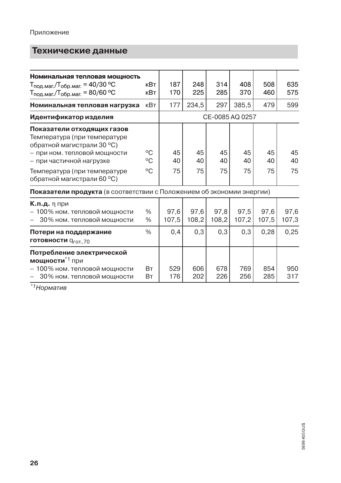## Технические данные

| Номинальная тепловая мощность                                                            |              |               |                 |               |               |               |               |
|------------------------------------------------------------------------------------------|--------------|---------------|-----------------|---------------|---------------|---------------|---------------|
| Т <sub>под.маг./Т<sub>обр.маг.</sub> = 40/30 °С</sub>                                    | кВт          | 187           | 248             | 314           | 408           | 508           | 635           |
| $T_{\text{no},\text{mar}}/T_{\text{o6p}.\text{mar}} = 80/60 \text{ °C}$                  | кВт          | 170           | 225             | 285           | 370           | 460           | 575           |
| Номинальная тепловая нагрузка                                                            | кВт          | 177           | 234,5           | 297           | 385,5         | 479           | 599           |
| Идентификатор изделия                                                                    |              |               | CE-0085 AQ 0257 |               |               |               |               |
| Показатели отходящих газов<br>Температура (при температуре<br>обратной магистрали 30 °C) |              |               |                 |               |               |               |               |
| - при ном. тепловой мощности                                                             | °C           | 45            | 45              | 45            | 45            | 45            | 45            |
| – при частичной нагрузке                                                                 | °C           | 40            | 40              | 40            | 40            | 40            | 40            |
| Температура (при температуре<br>обратной магистрали 60 °С)                               | $^{\circ}C$  | 75            | 75              | 75            | 75            | 75            | 75            |
| Показатели продукта (в соответствии с Положением об экономии энергии)                    |              |               |                 |               |               |               |               |
| <b>К.п.д.</b> n при<br>- 100% ном. тепловой мощности<br>30% ном. тепловой мощности       | $\%$<br>$\%$ | 97,6<br>107,5 | 97,6<br>108,2   | 97,8<br>108,2 | 97,5<br>107,2 | 97,6<br>107,5 | 97,6<br>107,3 |
| Потери на поддержание<br>готовности q <sub>гот.,70</sub>                                 | $\%$         | 0,4           | 0,3             | 0,3           | 0,3           | 0,28          | 0,25          |
| Потребление электрической<br>мощности <sup>*1</sup> при                                  |              |               |                 |               |               |               |               |
| - 100% ном. тепловой мощности                                                            | Bт           | 529           | 606             | 678           | 769           | 854           | 950           |
| 30% ном. тепловой мощности                                                               | Bт           | 176           | 202             | 226           | 256           | 285           | 317           |
| the second                                                                               |              |               |                 |               |               |               |               |

<sup>\*1</sup>Норматив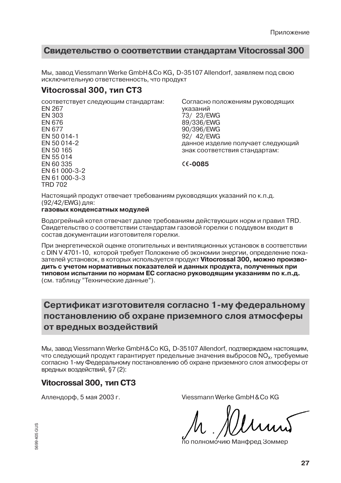### Свидетельство о соответствии стандартам Vitocrossal 300

Мы, завод Viessmann Werke GmbH & Co KG, D-35107 Allendorf, заявляем под свою ИСКЛЮЧИТАЛЬНУЮ ОТВАТСТВАННОСТЬ, ЧТО ПООЛУКТ

### Vitocrossal 300, тип СТЗ

соответствует следующим стандартам: **FN 267** FN 303

**FN 676 FN 677** EN 50 014-1 FN 50 014-2 FN 50 165 EN 55 014 EN 60 335 FN 61 000-3-2 FN 61 000-3-3 **TRD 702** 

Согласно положениям руководящих указаний 73/ 23/EWG 89/336/EWG 90/396/EWG 92/ 42/EWG данное изделие получает следующий знак соответствия стандартам:

 $C6 - 0085$ 

Настоящий продукт отвечает требованиям руководящих указаний по к.п.д. (92/42/EWG) для:

#### газовых конденсатных модулей

Водогрейный котел отвечает далее требованиям действующих норм и правил TRD. Свидетельство о соответствии стандартам газовой горелки с поддувом входит в состав документации изготовителя горелки.

При энергетической оценке отопительных и вентиляционных установок в соответствии с DIN V 4701-10, которой требует Положение об экономии энергии, определение показателей установок, в которых используется продукт Vitocrossal 300, можно производить с учетом нормативных показателей и данных продукта, полученных при типовом испытании по нормам ЕС согласно руководящим указаниям по к.п.д. (см. таблицу "Технические данные").

## Сертификат изготовителя согласно 1-му федеральному постановлению об охране приземного слоя атмосферы от вредных воздействий

Мы, завод Viessmann Werke GmbH&Co KG, D-35107 Allendorf, подтверждаем настоящим, что следующий продукт гарантирует предельные значения выбросов NO<sub>2</sub>, требуемые согласно 1-му Федеральному постановлению об охране приземного слоя атмосферы от вредных воздействий, §7 (2):

### Vitocrossal 300, тип СТЗ

Аллендорф, 5 мая 2003 г.

Viessmann Werke GmbH & Co KG

юмо́чию Манфред Зоммер

5699 405 GUS